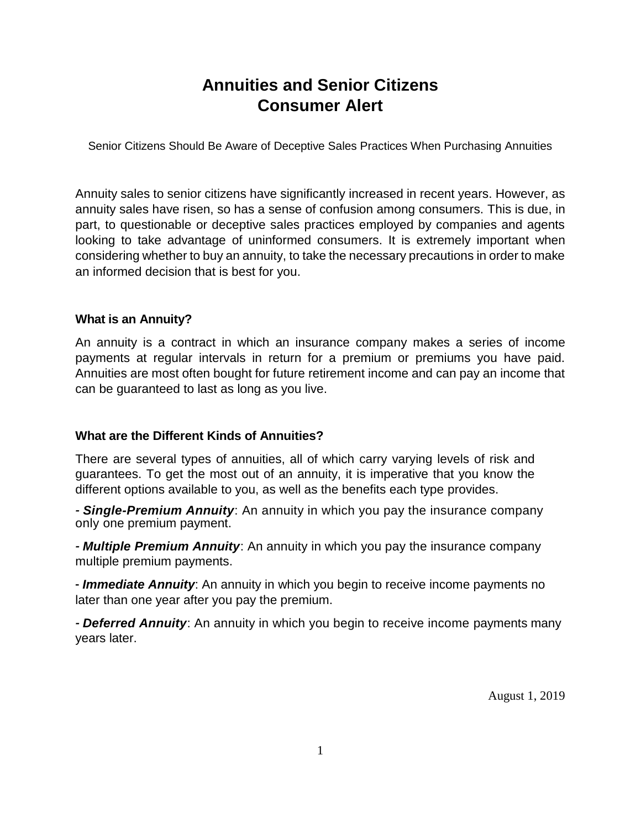# **Annuities and Senior Citizens Consumer Alert**

Senior Citizens Should Be Aware of Deceptive Sales Practices When Purchasing Annuities

Annuity sales to senior citizens have significantly increased in recent years. However, as annuity sales have risen, so has a sense of confusion among consumers. This is due, in part, to questionable or deceptive sales practices employed by companies and agents looking to take advantage of uninformed consumers. It is extremely important when considering whether to buy an annuity, to take the necessary precautions in order to make an informed decision that is best for you.

#### **What is an Annuity?**

An annuity is a contract in which an insurance company makes a series of income payments at regular intervals in return for a premium or premiums you have paid. Annuities are most often bought for future retirement income and can pay an income that can be guaranteed to last as long as you live.

#### **What are the Different Kinds of Annuities?**

There are several types of annuities, all of which carry varying levels of risk and guarantees. To get the most out of an annuity, it is imperative that you know the different options available to you, as well as the benefits each type provides.

*- Single-Premium Annuity*: An annuity in which you pay the insurance company only one premium payment.

*- Multiple Premium Annuity*: An annuity in which you pay the insurance company multiple premium payments.

- *Immediate Annuity*: An annuity in which you begin to receive income payments no later than one year after you pay the premium.

*- Deferred Annuity*: An annuity in which you begin to receive income payments many years later.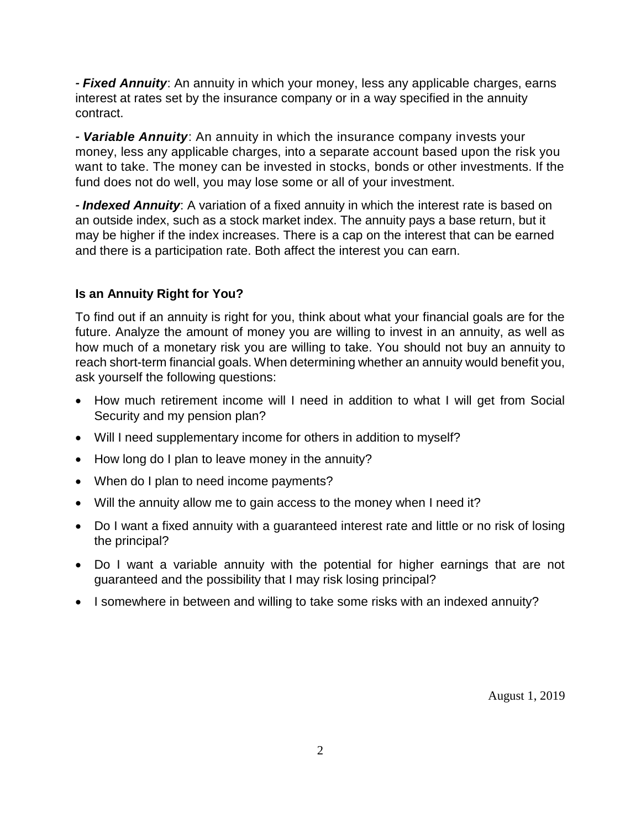*- Fixed Annuity*: An annuity in which your money, less any applicable charges, earns interest at rates set by the insurance company or in a way specified in the annuity contract.

*- Variable Annuity*: An annuity in which the insurance company invests your money, less any applicable charges, into a separate account based upon the risk you want to take. The money can be invested in stocks, bonds or other investments. If the fund does not do well, you may lose some or all of your investment.

*- Indexed Annuity*: A variation of a fixed annuity in which the interest rate is based on an outside index, such as a stock market index. The annuity pays a base return, but it may be higher if the index increases. There is a cap on the interest that can be earned and there is a participation rate. Both affect the interest you can earn.

## **Is an Annuity Right for You?**

To find out if an annuity is right for you, think about what your financial goals are for the future. Analyze the amount of money you are willing to invest in an annuity, as well as how much of a monetary risk you are willing to take. You should not buy an annuity to reach short-term financial goals. When determining whether an annuity would benefit you, ask yourself the following questions:

- How much retirement income will I need in addition to what I will get from Social Security and my pension plan?
- Will I need supplementary income for others in addition to myself?
- How long do I plan to leave money in the annuity?
- When do I plan to need income payments?
- Will the annuity allow me to gain access to the money when I need it?
- Do I want a fixed annuity with a guaranteed interest rate and little or no risk of losing the principal?
- Do I want a variable annuity with the potential for higher earnings that are not guaranteed and the possibility that I may risk losing principal?
- I somewhere in between and willing to take some risks with an indexed annuity?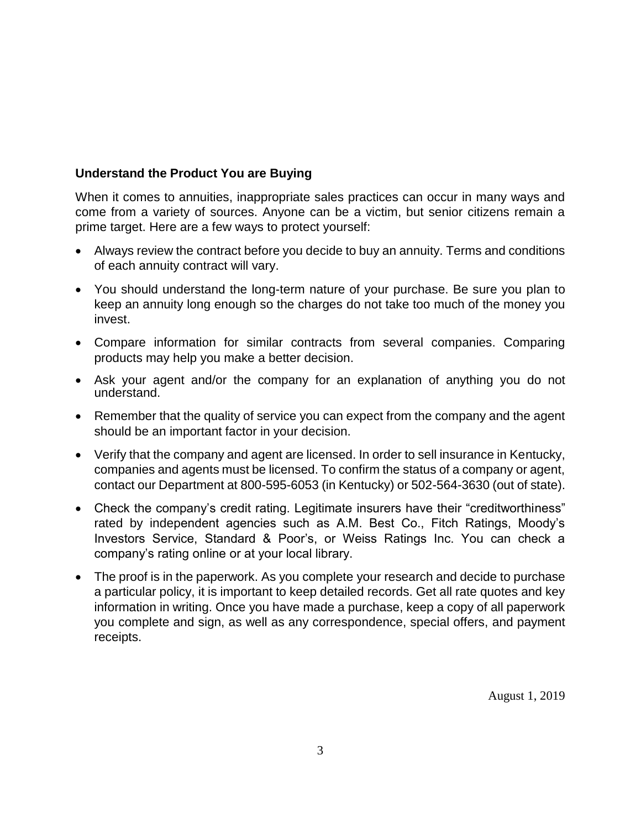#### **Understand the Product You are Buying**

When it comes to annuities, inappropriate sales practices can occur in many ways and come from a variety of sources. Anyone can be a victim, but senior citizens remain a prime target. Here are a few ways to protect yourself:

- Always review the contract before you decide to buy an annuity. Terms and conditions of each annuity contract will vary.
- You should understand the long-term nature of your purchase. Be sure you plan to keep an annuity long enough so the charges do not take too much of the money you invest.
- Compare information for similar contracts from several companies. Comparing products may help you make a better decision.
- Ask your agent and/or the company for an explanation of anything you do not understand.
- Remember that the quality of service you can expect from the company and the agent should be an important factor in your decision.
- Verify that the company and agent are licensed. In order to sell insurance in Kentucky, companies and agents must be licensed. To confirm the status of a company or agent, contact our Department at 800-595-6053 (in Kentucky) or 502-564-3630 (out of state).
- Check the company's credit rating. Legitimate insurers have their "creditworthiness" rated by independent agencies such as A.M. Best Co., Fitch Ratings, Moody's Investors Service, Standard & Poor's, or Weiss Ratings Inc. You can check a company's rating online or at your local library.
- The proof is in the paperwork. As you complete your research and decide to purchase a particular policy, it is important to keep detailed records. Get all rate quotes and key information in writing. Once you have made a purchase, keep a copy of all paperwork you complete and sign, as well as any correspondence, special offers, and payment receipts.